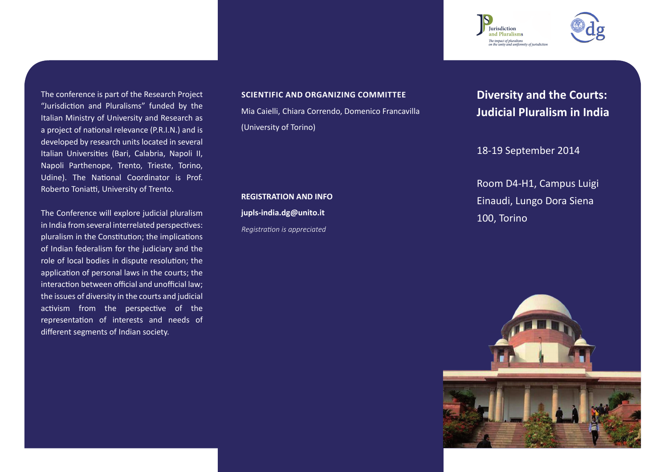The conference is part of the Research Project "Jurisdiction and Pluralisms" funded by the Italian Ministry of University and Research as a project of national relevance (P.R.I.N.) and is developed by research units located in several Italian Universities (Bari, Calabria, Napoli II, Napoli Parthenope, Trento, Trieste, Torino, Udine). The National Coordinator is Prof. Roberto Toniatti, University of Trento.

The Conference will explore judicial pluralism in India from several interrelated perspectives: pluralism in the Constitution; the implications of Indian federalism for the judiciary and the role of local bodies in dispute resolution; the application of personal laws in the courts; the interaction between official and unofficial law; the issues of diversity in the courts and judicial activism from the perspective of the representation of interests and needs of different segments of Indian society.

## **SCIENTIFIC AND ORGANIZING COMMITTEE**

Mia Caielli, Chiara Correndo, Domenico Francavilla (University of Torino)

**REGISTRATION AND INFO jupls-india.dg@unito.it** *Registration is appreciated*

**Diversity and the Courts: Judicial Pluralism in India**

18-19 September 2014

Room D4-H1, Campus Luigi Einaudi, Lungo Dora Siena 100, Torino